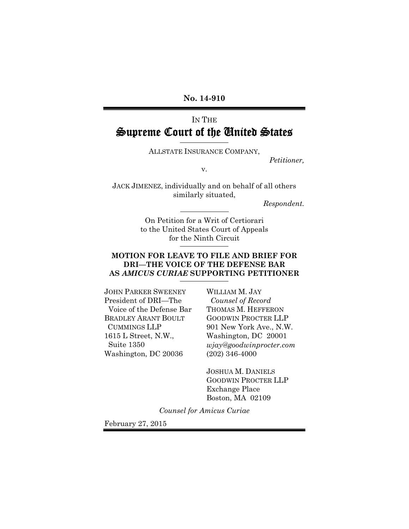**No. 14-910** 

# IN THE Supreme Court of the United States

ALLSTATE INSURANCE COMPANY,

*Petitioner,* 

v.

JACK JIMENEZ, individually and on behalf of all others similarly situated,

*Respondent.* 

On Petition for a Writ of Certiorari to the United States Court of Appeals for the Ninth Circuit

#### **MOTION FOR LEAVE TO FILE AND BRIEF FOR DRI—THE VOICE OF THE DEFENSE BAR AS** *AMICUS CURIAE* **SUPPORTING PETITIONER**

JOHN PARKER SWEENEY President of DRI—The Voice of the Defense Bar BRADLEY ARANT BOULT CUMMINGS LLP 1615 L Street, N.W., Suite 1350 Washington, DC 20036

WILLIAM M. JAY  *Counsel of Record*  THOMAS M. HEFFERON GOODWIN PROCTER LLP 901 New York Ave., N.W. Washington, DC 20001 *wjay@goodwinprocter.com* (202) 346-4000

JOSHUA M. DANIELS GOODWIN PROCTER LLP Exchange Place Boston, MA 02109

*Counsel for Amicus Curiae* 

February 27, 2015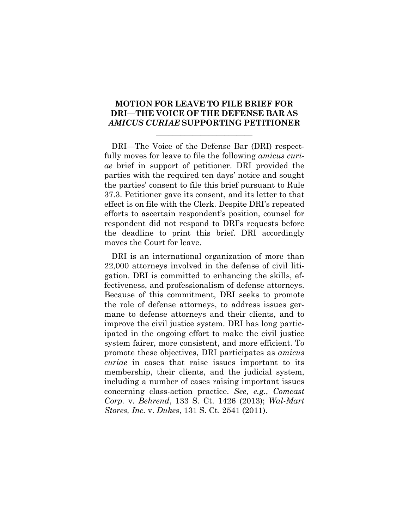#### **MOTION FOR LEAVE TO FILE BRIEF FOR DRI—THE VOICE OF THE DEFENSE BAR AS** *AMICUS CURIAE* **SUPPORTING PETITIONER**

 $\overline{\phantom{a}}$  , where  $\overline{\phantom{a}}$  , where  $\overline{\phantom{a}}$  , where  $\overline{\phantom{a}}$ 

DRI—The Voice of the Defense Bar (DRI) respectfully moves for leave to file the following *amicus curiae* brief in support of petitioner. DRI provided the parties with the required ten days' notice and sought the parties' consent to file this brief pursuant to Rule 37.3. Petitioner gave its consent, and its letter to that effect is on file with the Clerk. Despite DRI's repeated efforts to ascertain respondent's position, counsel for respondent did not respond to DRI's requests before the deadline to print this brief. DRI accordingly moves the Court for leave.

DRI is an international organization of more than 22,000 attorneys involved in the defense of civil litigation. DRI is committed to enhancing the skills, effectiveness, and professionalism of defense attorneys. Because of this commitment, DRI seeks to promote the role of defense attorneys, to address issues germane to defense attorneys and their clients, and to improve the civil justice system. DRI has long participated in the ongoing effort to make the civil justice system fairer, more consistent, and more efficient. To promote these objectives, DRI participates as *amicus curiae* in cases that raise issues important to its membership, their clients, and the judicial system, including a number of cases raising important issues concerning class-action practice. *See, e.g.*, *Comcast Corp.* v. *Behrend*, 133 S. Ct. 1426 (2013); *Wal-Mart Stores, Inc.* v. *Dukes*, 131 S. Ct. 2541 (2011).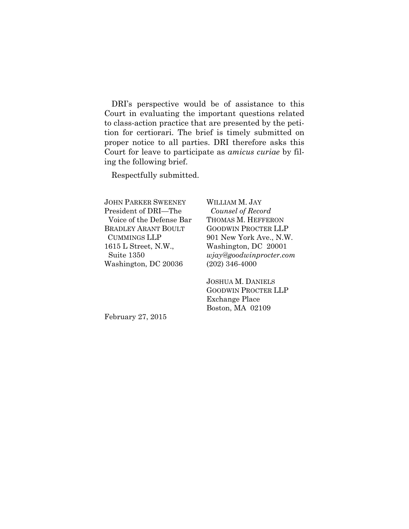DRI's perspective would be of assistance to this Court in evaluating the important questions related to class-action practice that are presented by the petition for certiorari. The brief is timely submitted on proper notice to all parties. DRI therefore asks this Court for leave to participate as *amicus curiae* by filing the following brief.

Respectfully submitted.

JOHN PARKER SWEENEY President of DRI—The Voice of the Defense Bar BRADLEY ARANT BOULT CUMMINGS LLP 1615 L Street, N.W., Suite 1350 Washington, DC 20036

WILLIAM M. JAY  *Counsel of Record*  THOMAS M. HEFFERON GOODWIN PROCTER LLP 901 New York Ave., N.W. Washington, DC 20001 *wjay@goodwinprocter.com* (202) 346-4000

JOSHUA M. DANIELS GOODWIN PROCTER LLP Exchange Place Boston, MA 02109

February 27, 2015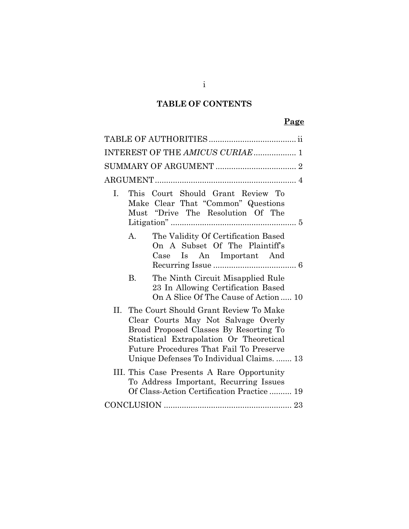# **TABLE OF CONTENTS**

# **Page**

| INTEREST OF THE AMICUS CURIAE  1                                                                                                                                                                                                                               |
|----------------------------------------------------------------------------------------------------------------------------------------------------------------------------------------------------------------------------------------------------------------|
|                                                                                                                                                                                                                                                                |
|                                                                                                                                                                                                                                                                |
| This Court Should Grant Review To<br>L.<br>Make Clear That "Common" Questions<br>Must "Drive The Resolution Of The                                                                                                                                             |
| The Validity Of Certification Based<br>А.<br>On A Subset Of The Plaintiff's<br>Case Is An Important And                                                                                                                                                        |
| The Ninth Circuit Misapplied Rule<br>B.<br>23 In Allowing Certification Based<br>On A Slice Of The Cause of Action  10                                                                                                                                         |
| II. The Court Should Grant Review To Make<br>Clear Courts May Not Salvage Overly<br>Broad Proposed Classes By Resorting To<br>Statistical Extrapolation Or Theoretical<br>Future Procedures That Fail To Preserve<br>Unique Defenses To Individual Claims.  13 |
| III. This Case Presents A Rare Opportunity<br>To Address Important, Recurring Issues<br>Of Class-Action Certification Practice  19                                                                                                                             |
|                                                                                                                                                                                                                                                                |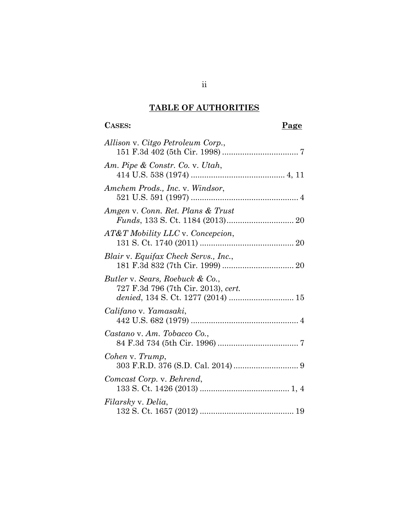# **TABLE OF AUTHORITIES**

# CASES: Page **Page**

| Allison v. Citgo Petroleum Corp.,                                                                            |
|--------------------------------------------------------------------------------------------------------------|
| Am. Pipe & Constr. Co. v. Utah,                                                                              |
| Amchem Prods., Inc. v. Windsor,                                                                              |
| Amgen v. Conn. Ret. Plans & Trust                                                                            |
| AT&T Mobility LLC v. Concepcion,                                                                             |
| Blair v. Equifax Check Servs., Inc.,                                                                         |
| Butler v. Sears, Roebuck & Co.,<br>727 F.3d 796 (7th Cir. 2013), cert.<br>denied, 134 S. Ct. 1277 (2014)  15 |
| Califano v. Yamasaki,                                                                                        |
| Castano v. Am. Tobacco Co.,                                                                                  |
| Cohen v. Trump,                                                                                              |
| Comcast Corp. v. Behrend,                                                                                    |
| Filarsky v. Delia,                                                                                           |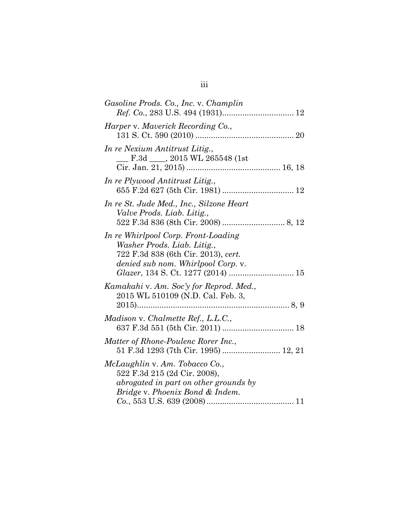| Gasoline Prods. Co., Inc. v. Champlin                                                                                                           |
|-------------------------------------------------------------------------------------------------------------------------------------------------|
| Harper v. Maverick Recording Co.,                                                                                                               |
| In re Nexium Antitrust Litig.,<br>F.3d ____, 2015 WL 265548 (1st                                                                                |
| In re Plywood Antitrust Litig.,                                                                                                                 |
| In re St. Jude Med., Inc., Silzone Heart<br>Valve Prods. Liab. Litig.,                                                                          |
| In re Whirlpool Corp. Front-Loading<br>Washer Prods. Liab. Litig.,<br>722 F.3d 838 (6th Cir. 2013), cert.<br>denied sub nom. Whirlpool Corp. v. |
| Kamakahi v. Am. Soc'y for Reprod. Med.,<br>2015 WL 510109 (N.D. Cal. Feb. 3,                                                                    |
| Madison v. Chalmette Ref., L.L.C.,                                                                                                              |
| Matter of Rhone-Poulenc Rorer Inc.,<br>51 F.3d 1293 (7th Cir. 1995)  12, 21                                                                     |
| McLaughlin v. Am. Tobacco Co.,<br>522 F.3d 215 (2d Cir. 2008),<br>abrogated in part on other grounds by<br>Bridge v. Phoenix Bond & Indem.      |

# iii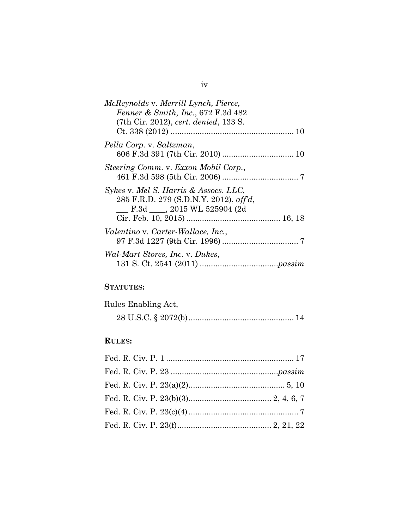| McReynolds v. Merrill Lynch, Pierce,                                                                             |
|------------------------------------------------------------------------------------------------------------------|
| Fenner & Smith, Inc., 672 F.3d 482                                                                               |
| (7th Cir. 2012), cert. denied, 133 S.                                                                            |
| Pella Corp. v. Saltzman,                                                                                         |
| Steering Comm. v. Exxon Mobil Corp.,                                                                             |
| Sykes v. Mel S. Harris & Assocs. LLC,<br>285 F.R.D. 279 (S.D.N.Y. 2012), aff'd,<br>F.3d ____, 2015 WL 525904 (2d |
| Valentino v. Carter-Wallace, Inc.,                                                                               |
| Wal-Mart Stores, Inc. v. Dukes,                                                                                  |

# **STATUTES:**

| Rules Enabling Act, |  |
|---------------------|--|
|                     |  |

# **RULES:**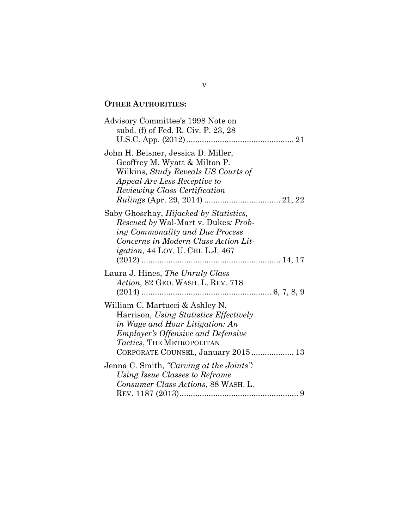# **OTHER AUTHORITIES:**

| Advisory Committee's 1998 Note on<br>subd. (f) of Fed. R. Civ. P. 23, 28                                                                                                                                                     |
|------------------------------------------------------------------------------------------------------------------------------------------------------------------------------------------------------------------------------|
| John H. Beisner, Jessica D. Miller,<br>Geoffrey M. Wyatt & Milton P.<br>Wilkins, Study Reveals US Courts of<br><i>Appeal Are Less Receptive to</i><br><i>Reviewing Class Certification</i>                                   |
| Saby Ghosrhay, <i>Hijacked by Statistics</i> ,<br><i>Rescued by</i> Wal-Mart v. Dukes: <i>Prob-</i><br>ing Commonality and Due Process<br>Concerns in Modern Class Action Lit-<br><i>igation</i> , 44 LOY. U. CHI. L.J. 467  |
| Laura J. Hines, The Unruly Class<br>Action, 82 GEO. WASH. L. REV. 718                                                                                                                                                        |
| William C. Martucci & Ashley N.<br>Harrison, Using Statistics Effectively<br>in Wage and Hour Litigation: An<br><b>Employer's Offensive and Defensive</b><br>Tactics, THE METROPOLITAN<br>CORPORATE COUNSEL, January 2015 13 |
| Jenna C. Smith, "Carving at the Joints":<br>Using Issue Classes to Reframe<br>Consumer Class Actions, 88 WASH. L.                                                                                                            |

v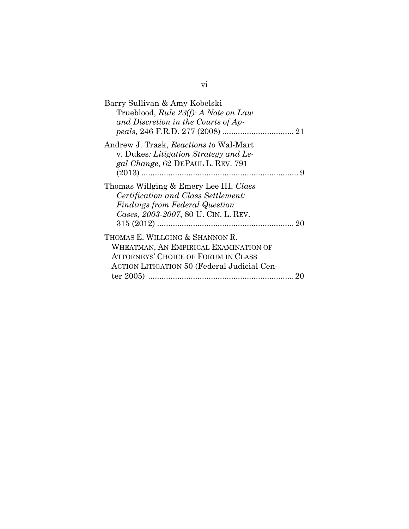| Barry Sullivan & Amy Kobelski                      |
|----------------------------------------------------|
| Trueblood, Rule 23(f): A Note on Law               |
| and Discretion in the Courts of Ap-                |
|                                                    |
| Andrew J. Trask, Reactions to Wal-Mart             |
| v. Dukes: Litigation Strategy and Le-              |
| gal Change, 62 DEPAUL L. REV. 791                  |
|                                                    |
| Thomas Willging & Emery Lee III, Class             |
| Certification and Class Settlement:                |
| <b>Findings from Federal Question</b>              |
| Cases, 2003-2007, 80 U. CIN. L. REV.               |
|                                                    |
| THOMAS E. WILLGING & SHANNON R.                    |
| WHEATMAN, AN EMPIRICAL EXAMINATION OF              |
| <b>ATTORNEYS' CHOICE OF FORUM IN CLASS</b>         |
| <b>ACTION LITIGATION 50 (Federal Judicial Cen-</b> |
| ter $2005$                                         |
|                                                    |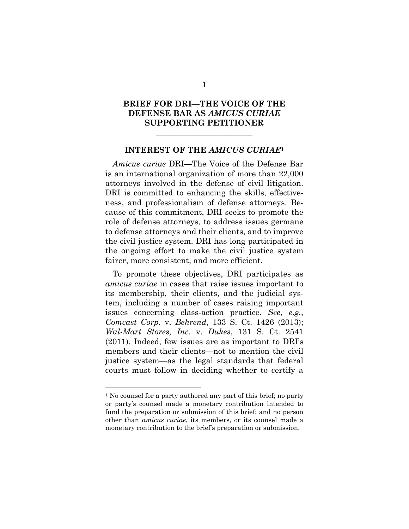## **BRIEF FOR DRI—THE VOICE OF THE DEFENSE BAR AS** *AMICUS CURIAE* **SUPPORTING PETITIONER**

\_\_\_\_\_\_\_\_\_\_\_\_\_\_\_\_\_\_\_\_\_\_\_\_

#### **INTEREST OF THE** *AMICUS CURIAE***<sup>1</sup>**

*Amicus curiae* DRI—The Voice of the Defense Bar is an international organization of more than 22,000 attorneys involved in the defense of civil litigation. DRI is committed to enhancing the skills, effectiveness, and professionalism of defense attorneys. Because of this commitment, DRI seeks to promote the role of defense attorneys, to address issues germane to defense attorneys and their clients, and to improve the civil justice system. DRI has long participated in the ongoing effort to make the civil justice system fairer, more consistent, and more efficient.

To promote these objectives, DRI participates as *amicus curiae* in cases that raise issues important to its membership, their clients, and the judicial system, including a number of cases raising important issues concerning class-action practice. *See, e.g.*, *Comcast Corp.* v. *Behrend*, 133 S. Ct. 1426 (2013); *Wal-Mart Stores, Inc.* v. *Dukes*, 131 S. Ct. 2541 (2011). Indeed, few issues are as important to DRI's members and their clients—not to mention the civil justice system—as the legal standards that federal courts must follow in deciding whether to certify a

<sup>&</sup>lt;sup>1</sup> No counsel for a party authored any part of this brief; no party or party's counsel made a monetary contribution intended to fund the preparation or submission of this brief; and no person other than *amicus curiae*, its members, or its counsel made a monetary contribution to the brief's preparation or submission.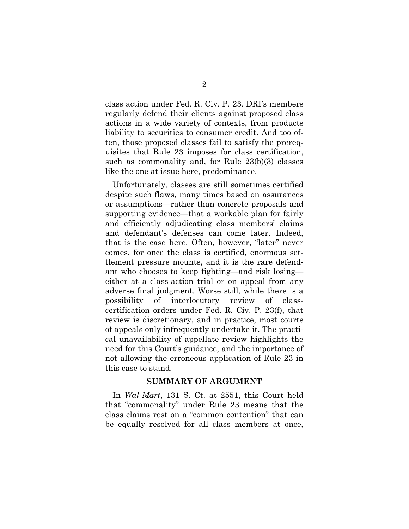class action under Fed. R. Civ. P. 23. DRI's members regularly defend their clients against proposed class actions in a wide variety of contexts, from products liability to securities to consumer credit. And too often, those proposed classes fail to satisfy the prerequisites that Rule 23 imposes for class certification, such as commonality and, for Rule 23(b)(3) classes like the one at issue here, predominance.

Unfortunately, classes are still sometimes certified despite such flaws, many times based on assurances or assumptions—rather than concrete proposals and supporting evidence—that a workable plan for fairly and efficiently adjudicating class members' claims and defendant's defenses can come later. Indeed, that is the case here. Often, however, "later" never comes, for once the class is certified, enormous settlement pressure mounts, and it is the rare defendant who chooses to keep fighting—and risk losing either at a class-action trial or on appeal from any adverse final judgment. Worse still, while there is a possibility of interlocutory review of classcertification orders under Fed. R. Civ. P. 23(f), that review is discretionary, and in practice, most courts of appeals only infrequently undertake it. The practical unavailability of appellate review highlights the need for this Court's guidance, and the importance of not allowing the erroneous application of Rule 23 in this case to stand.

#### **SUMMARY OF ARGUMENT**

In *Wal-Mart*, 131 S. Ct. at 2551, this Court held that "commonality" under Rule 23 means that the class claims rest on a "common contention" that can be equally resolved for all class members at once,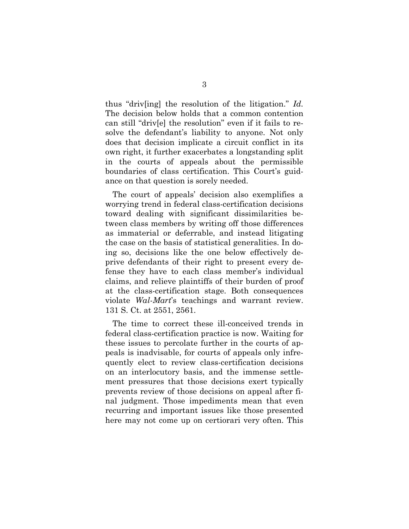thus "driv[ing] the resolution of the litigation." *Id.* The decision below holds that a common contention can still "driv[e] the resolution" even if it fails to resolve the defendant's liability to anyone. Not only does that decision implicate a circuit conflict in its own right, it further exacerbates a longstanding split in the courts of appeals about the permissible boundaries of class certification. This Court's guidance on that question is sorely needed.

The court of appeals' decision also exemplifies a worrying trend in federal class-certification decisions toward dealing with significant dissimilarities between class members by writing off those differences as immaterial or deferrable, and instead litigating the case on the basis of statistical generalities. In doing so, decisions like the one below effectively deprive defendants of their right to present every defense they have to each class member's individual claims, and relieve plaintiffs of their burden of proof at the class-certification stage. Both consequences violate *Wal-Mart*'s teachings and warrant review. 131 S. Ct. at 2551, 2561.

The time to correct these ill-conceived trends in federal class-certification practice is now. Waiting for these issues to percolate further in the courts of appeals is inadvisable, for courts of appeals only infrequently elect to review class-certification decisions on an interlocutory basis, and the immense settlement pressures that those decisions exert typically prevents review of those decisions on appeal after final judgment. Those impediments mean that even recurring and important issues like those presented here may not come up on certiorari very often. This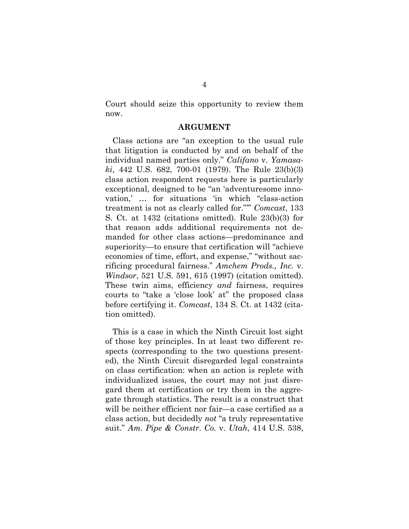Court should seize this opportunity to review them now.

#### **ARGUMENT**

Class actions are "an exception to the usual rule that litigation is conducted by and on behalf of the individual named parties only." *Califano* v. *Yamasaki*, 442 U.S. 682, 700-01 (1979). The Rule 23(b)(3) class action respondent requests here is particularly exceptional, designed to be "an 'adventuresome innovation,' … for situations 'in which "class-action treatment is not as clearly called for."'" *Comcast*, 133 S. Ct. at 1432 (citations omitted). Rule 23(b)(3) for that reason adds additional requirements not demanded for other class actions—predominance and superiority—to ensure that certification will "achieve economies of time, effort, and expense," "without sacrificing procedural fairness." *Amchem Prods., Inc.* v. *Windsor*, 521 U.S. 591, 615 (1997) (citation omitted). These twin aims, efficiency *and* fairness, requires courts to "take a 'close look' at" the proposed class before certifying it. *Comcast*, 134 S. Ct. at 1432 (citation omitted).

This is a case in which the Ninth Circuit lost sight of those key principles. In at least two different respects (corresponding to the two questions presented), the Ninth Circuit disregarded legal constraints on class certification: when an action is replete with individualized issues, the court may not just disregard them at certification or try them in the aggregate through statistics. The result is a construct that will be neither efficient nor fair—a case certified as a class action, but decidedly *not* "a truly representative suit." *Am. Pipe & Constr. Co.* v. *Utah*, 414 U.S. 538,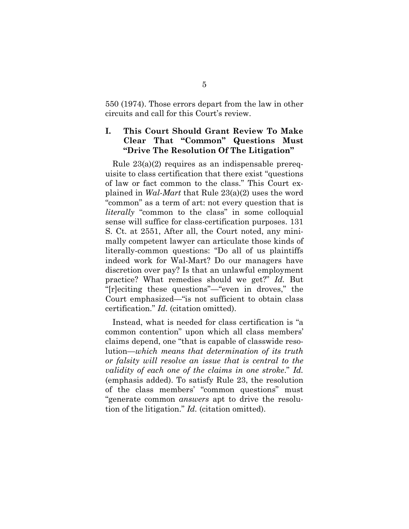550 (1974). Those errors depart from the law in other circuits and call for this Court's review.

## **I. This Court Should Grant Review To Make Clear That "Common" Questions Must "Drive The Resolution Of The Litigation"**

Rule 23(a)(2) requires as an indispensable prerequisite to class certification that there exist "questions of law or fact common to the class." This Court explained in *Wal-Mart* that Rule 23(a)(2) uses the word "common" as a term of art: not every question that is *literally* "common to the class" in some colloquial sense will suffice for class-certification purposes. 131 S. Ct. at 2551, After all, the Court noted, any minimally competent lawyer can articulate those kinds of literally-common questions: "Do all of us plaintiffs indeed work for Wal-Mart? Do our managers have discretion over pay? Is that an unlawful employment practice? What remedies should we get?" *Id.* But "[r]eciting these questions"—"even in droves," the Court emphasized—"is not sufficient to obtain class certification." *Id.* (citation omitted).

Instead, what is needed for class certification is "a common contention" upon which all class members' claims depend, one "that is capable of classwide resolution—*which means that determination of its truth or falsity will resolve an issue that is central to the validity of each one of the claims in one stroke*." *Id.* (emphasis added). To satisfy Rule 23, the resolution of the class members' "common questions" must "generate common *answers* apt to drive the resolution of the litigation." *Id.* (citation omitted).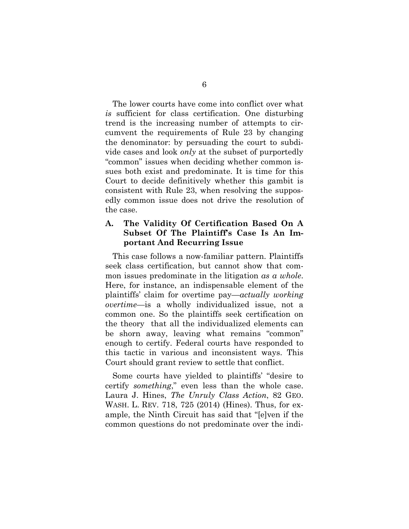The lower courts have come into conflict over what *is* sufficient for class certification. One disturbing trend is the increasing number of attempts to circumvent the requirements of Rule 23 by changing the denominator: by persuading the court to subdivide cases and look *only* at the subset of purportedly "common" issues when deciding whether common issues both exist and predominate. It is time for this Court to decide definitively whether this gambit is consistent with Rule 23, when resolving the supposedly common issue does not drive the resolution of the case.

## **A. The Validity Of Certification Based On A Subset Of The Plaintiff's Case Is An Important And Recurring Issue**

This case follows a now-familiar pattern. Plaintiffs seek class certification, but cannot show that common issues predominate in the litigation *as a whole*. Here, for instance, an indispensable element of the plaintiffs' claim for overtime pay—*actually working overtime*—is a wholly individualized issue, not a common one. So the plaintiffs seek certification on the theory that all the individualized elements can be shorn away, leaving what remains "common" enough to certify. Federal courts have responded to this tactic in various and inconsistent ways. This Court should grant review to settle that conflict.

Some courts have yielded to plaintiffs' "desire to certify *something*," even less than the whole case. Laura J. Hines, *The Unruly Class Action*, 82 GEO. WASH. L. REV. 718, 725 (2014) (Hines). Thus, for example, the Ninth Circuit has said that "[e]ven if the common questions do not predominate over the indi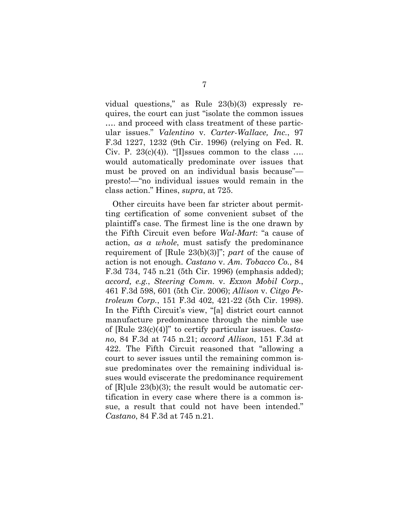vidual questions," as Rule 23(b)(3) expressly requires, the court can just "isolate the common issues …. and proceed with class treatment of these particular issues." *Valentino* v. *Carter-Wallace, Inc.*, 97 F.3d 1227, 1232 (9th Cir. 1996) (relying on Fed. R. Civ. P.  $23(c)(4)$ . "[I]ssues common to the class ... would automatically predominate over issues that must be proved on an individual basis because" presto!—"no individual issues would remain in the class action." Hines, *supra*, at 725.

Other circuits have been far stricter about permitting certification of some convenient subset of the plaintiff's case. The firmest line is the one drawn by the Fifth Circuit even before *Wal-Mart*: "a cause of action, *as a whole*, must satisfy the predominance requirement of [Rule 23(b)(3)]"; *part* of the cause of action is not enough. *Castano* v. *Am. Tobacco Co.*, 84 F.3d 734, 745 n.21 (5th Cir. 1996) (emphasis added); *accord, e.g.*, *Steering Comm.* v. *Exxon Mobil Corp.*, 461 F.3d 598, 601 (5th Cir. 2006); *Allison* v. *Citgo Petroleum Corp.*, 151 F.3d 402, 421-22 (5th Cir. 1998). In the Fifth Circuit's view, "[a] district court cannot manufacture predominance through the nimble use of [Rule 23(c)(4)]" to certify particular issues. *Castano*, 84 F.3d at 745 n.21; *accord Allison*, 151 F.3d at 422. The Fifth Circuit reasoned that "allowing a court to sever issues until the remaining common issue predominates over the remaining individual issues would eviscerate the predominance requirement of  $[R]$ ule  $23(b)(3)$ ; the result would be automatic certification in every case where there is a common issue, a result that could not have been intended." *Castano*, 84 F.3d at 745 n.21.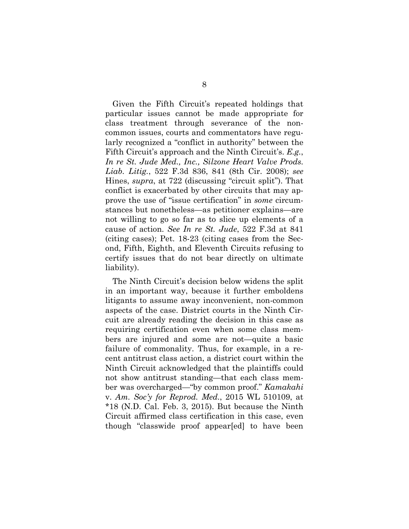Given the Fifth Circuit's repeated holdings that particular issues cannot be made appropriate for class treatment through severance of the noncommon issues, courts and commentators have regularly recognized a "conflict in authority" between the Fifth Circuit's approach and the Ninth Circuit's. *E.g.*, *In re St. Jude Med., Inc., Silzone Heart Valve Prods. Liab. Litig.*, 522 F.3d 836, 841 (8th Cir. 2008); *see*  Hines, *supra*, at 722 (discussing "circuit split"). That conflict is exacerbated by other circuits that may approve the use of "issue certification" in *some* circumstances but nonetheless—as petitioner explains—are not willing to go so far as to slice up elements of a cause of action. *See In re St. Jude*, 522 F.3d at 841 (citing cases); Pet. 18-23 (citing cases from the Second, Fifth, Eighth, and Eleventh Circuits refusing to certify issues that do not bear directly on ultimate liability).

The Ninth Circuit's decision below widens the split in an important way, because it further emboldens litigants to assume away inconvenient, non-common aspects of the case. District courts in the Ninth Circuit are already reading the decision in this case as requiring certification even when some class members are injured and some are not—quite a basic failure of commonality. Thus, for example, in a recent antitrust class action, a district court within the Ninth Circuit acknowledged that the plaintiffs could not show antitrust standing—that each class member was overcharged—"by common proof." *Kamakahi* v. *Am. Soc'y for Reprod. Med.*, 2015 WL 510109, at \*18 (N.D. Cal. Feb. 3, 2015). But because the Ninth Circuit affirmed class certification in this case, even though "classwide proof appear[ed] to have been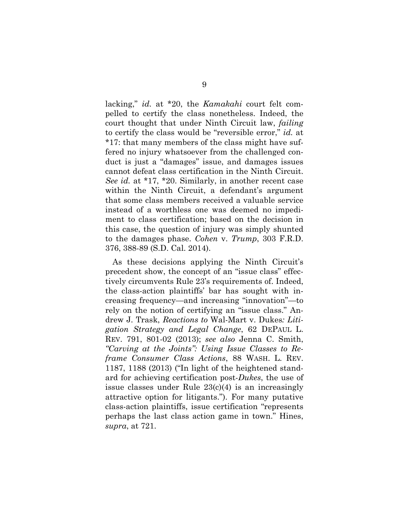lacking," *id.* at \*20, the *Kamakahi* court felt compelled to certify the class nonetheless. Indeed, the court thought that under Ninth Circuit law, *failing* to certify the class would be "reversible error," *id.* at \*17: that many members of the class might have suffered no injury whatsoever from the challenged conduct is just a "damages" issue, and damages issues cannot defeat class certification in the Ninth Circuit. *See id.* at \*17, \*20. Similarly, in another recent case within the Ninth Circuit, a defendant's argument that some class members received a valuable service instead of a worthless one was deemed no impediment to class certification; based on the decision in this case, the question of injury was simply shunted to the damages phase. *Cohen* v. *Trump*, 303 F.R.D. 376, 388-89 (S.D. Cal. 2014).

As these decisions applying the Ninth Circuit's precedent show, the concept of an "issue class" effectively circumvents Rule 23's requirements of. Indeed, the class-action plaintiffs' bar has sought with increasing frequency—and increasing "innovation"—to rely on the notion of certifying an "issue class." Andrew J. Trask, *Reactions to* Wal-Mart v. Dukes*: Litigation Strategy and Legal Change*, 62 DEPAUL L. REV. 791, 801-02 (2013); *see also* Jenna C. Smith, *"Carving at the Joints": Using Issue Classes to Reframe Consumer Class Actions*, 88 WASH. L. REV. 1187, 1188 (2013) ("In light of the heightened standard for achieving certification post-*Dukes*, the use of issue classes under Rule 23(c)(4) is an increasingly attractive option for litigants."). For many putative class-action plaintiffs, issue certification "represents perhaps the last class action game in town." Hines, *supra*, at 721.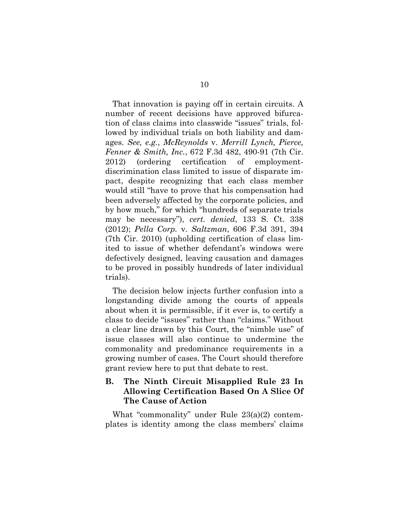That innovation is paying off in certain circuits. A number of recent decisions have approved bifurcation of class claims into classwide "issues" trials, followed by individual trials on both liability and damages. *See, e.g.*, *McReynolds* v. *Merrill Lynch, Pierce, Fenner & Smith, Inc.*, 672 F.3d 482, 490-91 (7th Cir. 2012) (ordering certification of employmentdiscrimination class limited to issue of disparate impact, despite recognizing that each class member would still "have to prove that his compensation had been adversely affected by the corporate policies, and by how much," for which "hundreds of separate trials may be necessary"), *cert. denied*, 133 S. Ct. 338 (2012); *Pella Corp.* v. *Saltzman*, 606 F.3d 391, 394 (7th Cir. 2010) (upholding certification of class limited to issue of whether defendant's windows were defectively designed, leaving causation and damages to be proved in possibly hundreds of later individual trials).

The decision below injects further confusion into a longstanding divide among the courts of appeals about when it is permissible, if it ever is, to certify a class to decide "issues" rather than "claims." Without a clear line drawn by this Court, the "nimble use" of issue classes will also continue to undermine the commonality and predominance requirements in a growing number of cases. The Court should therefore grant review here to put that debate to rest.

## **B. The Ninth Circuit Misapplied Rule 23 In Allowing Certification Based On A Slice Of The Cause of Action**

What "commonality" under Rule 23(a)(2) contemplates is identity among the class members' claims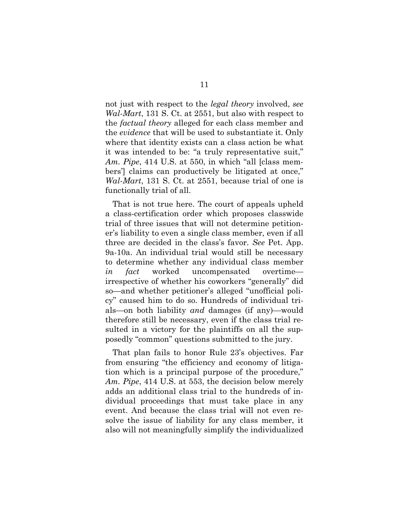not just with respect to the *legal theory* involved, *see Wal-Mart*, 131 S. Ct. at 2551, but also with respect to the *factual theory* alleged for each class member and the *evidence* that will be used to substantiate it. Only where that identity exists can a class action be what it was intended to be: "a truly representative suit," *Am. Pipe*, 414 U.S. at 550, in which "all [class members'] claims can productively be litigated at once," *Wal-Mart*, 131 S. Ct. at 2551, because trial of one is functionally trial of all.

That is not true here. The court of appeals upheld a class-certification order which proposes classwide trial of three issues that will not determine petitioner's liability to even a single class member, even if all three are decided in the class's favor. *See* Pet. App. 9a-10a. An individual trial would still be necessary to determine whether any individual class member *in fact* worked uncompensated overtime irrespective of whether his coworkers "generally" did so—and whether petitioner's alleged "unofficial policy" caused him to do so. Hundreds of individual trials—on both liability *and* damages (if any)—would therefore still be necessary, even if the class trial resulted in a victory for the plaintiffs on all the supposedly "common" questions submitted to the jury.

That plan fails to honor Rule 23's objectives. Far from ensuring "the efficiency and economy of litigation which is a principal purpose of the procedure," *Am. Pipe*, 414 U.S. at 553, the decision below merely adds an additional class trial to the hundreds of individual proceedings that must take place in any event. And because the class trial will not even resolve the issue of liability for any class member, it also will not meaningfully simplify the individualized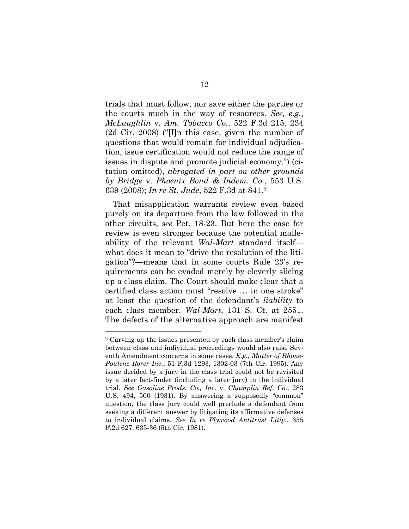trials that must follow, nor save either the parties or the courts much in the way of resources. *See, e.g.*, *McLaughlin* v. *Am. Tobacco Co.*, 522 F.3d 215, 234 (2d Cir. 2008) ("[I]n this case, given the number of questions that would remain for individual adjudication, issue certification would not reduce the range of issues in dispute and promote judicial economy.") (citation omitted), *abrogated in part on other grounds by Bridge* v. *Phoenix Bond & Indem. Co.*, 553 U.S. 639 (2008); *In re St. Jude*, 522 F.3d at 841.2

That misapplication warrants review even based purely on its departure from the law followed in the other circuits, *see* Pet. 18-23. But here the case for review is even stronger because the potential malleability of the relevant *Wal-Mart* standard itself what does it mean to "drive the resolution of the litigation"?—means that in some courts Rule 23's requirements can be evaded merely by cleverly slicing up a class claim. The Court should make clear that a certified class action must "resolve … in one stroke" at least the question of the defendant's *liability* to each class member. *Wal-Mart*, 131 S. Ct. at 2551. The defects of the alternative approach are manifest

l

<sup>2</sup> Carving up the issues presented by each class member's claim between class and individual proceedings would also raise Seventh Amendment concerns in some cases. *E.g.*, *Matter of Rhone-Poulenc Rorer Inc.*, 51 F.3d 1293, 1302-03 (7th Cir. 1995). Any issue decided by a jury in the class trial could not be revisited by a later fact-finder (including a later jury) in the individual trial. *See Gasoline Prods. Co., Inc.* v. *Champlin Ref. Co.*, 283 U.S. 494, 500 (1931). By answering a supposedly "common" question, the class jury could well preclude a defendant from seeking a different answer by litigating its affirmative defenses to individual claims. *See In re Plywood Antitrust Litig.*, 655 F.2d 627, 635-36 (5th Cir. 1981).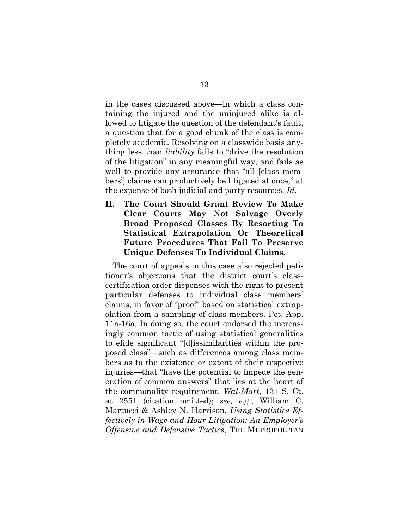in the cases discussed above—in which a class containing the injured and the uninjured alike is allowed to litigate the question of the defendant's fault, a question that for a good chunk of the class is completely academic. Resolving on a classwide basis anything less than *liability* fails to "drive the resolution of the litigation" in any meaningful way, and fails as well to provide any assurance that "all [class members'] claims can productively be litigated at once," at the expense of both judicial and party resources. *Id.*

**II. The Court Should Grant Review To Make Clear Courts May Not Salvage Overly Broad Proposed Classes By Resorting To Statistical Extrapolation Or Theoretical Future Procedures That Fail To Preserve Unique Defenses To Individual Claims.**

The court of appeals in this case also rejected petitioner's objections that the district court's classcertification order dispenses with the right to present particular defenses to individual class members' claims, in favor of "proof" based on statistical extrapolation from a sampling of class members. Pet. App. 11a-16a. In doing so, the court endorsed the increasingly common tactic of using statistical generalities to elide significant "[d]issimilarities within the proposed class"—such as differences among class members as to the existence or extent of their respective injuries—that "have the potential to impede the generation of common answers" that lies at the heart of the commonality requirement. *Wal-Mart*, 131 S. Ct. at 2551 (citation omitted); *see, e.g.*, William C. Martucci & Ashley N. Harrison, *Using Statistics Effectively in Wage and Hour Litigation: An Employer's Offensive and Defensive Tactics*, THE METROPOLITAN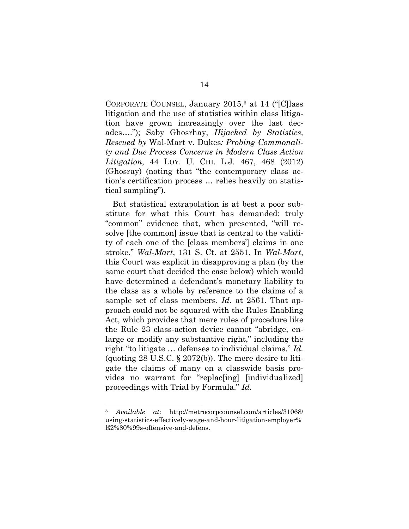CORPORATE COUNSEL, January 2015,3 at 14 ("[C]lass litigation and the use of statistics within class litigation have grown increasingly over the last decades…."); Saby Ghosrhay, *Hijacked by Statistics, Rescued by* Wal-Mart v. Dukes*: Probing Commonality and Due Process Concerns in Modern Class Action Litigation*, 44 LOY. U. CHI. L.J. 467, 468 (2012) (Ghosray) (noting that "the contemporary class action's certification process … relies heavily on statistical sampling").

But statistical extrapolation is at best a poor substitute for what this Court has demanded: truly "common" evidence that, when presented, "will resolve [the common] issue that is central to the validity of each one of the [class members'] claims in one stroke." *Wal-Mart*, 131 S. Ct. at 2551. In *Wal-Mart*, this Court was explicit in disapproving a plan (by the same court that decided the case below) which would have determined a defendant's monetary liability to the class as a whole by reference to the claims of a sample set of class members. *Id.* at 2561. That approach could not be squared with the Rules Enabling Act, which provides that mere rules of procedure like the Rule 23 class-action device cannot "abridge, enlarge or modify any substantive right," including the right "to litigate … defenses to individual claims." *Id.* (quoting 28 U.S.C.  $\S$  2072(b)). The mere desire to litigate the claims of many on a classwide basis provides no warrant for "replac[ing] [individualized] proceedings with Trial by Formula." *Id.* 

l

<sup>3</sup> *Available at*: http://metrocorpcounsel.com/articles/31068/ using-statistics-effectively-wage-and-hour-litigation-employer% E2%80%99s-offensive-and-defens.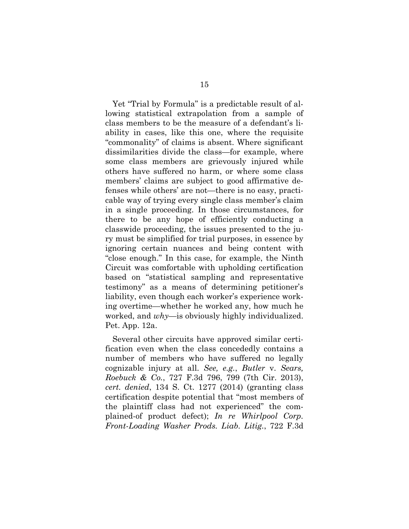Yet "Trial by Formula" is a predictable result of allowing statistical extrapolation from a sample of class members to be the measure of a defendant's liability in cases, like this one, where the requisite "commonality" of claims is absent. Where significant dissimilarities divide the class—for example, where some class members are grievously injured while others have suffered no harm, or where some class members' claims are subject to good affirmative defenses while others' are not—there is no easy, practicable way of trying every single class member's claim in a single proceeding. In those circumstances, for there to be any hope of efficiently conducting a classwide proceeding, the issues presented to the jury must be simplified for trial purposes, in essence by ignoring certain nuances and being content with "close enough." In this case, for example, the Ninth Circuit was comfortable with upholding certification based on "statistical sampling and representative testimony" as a means of determining petitioner's liability, even though each worker's experience working overtime—whether he worked any, how much he worked, and *why*—is obviously highly individualized. Pet. App. 12a.

Several other circuits have approved similar certification even when the class concededly contains a number of members who have suffered no legally cognizable injury at all. *See, e.g.*, *Butler* v. *Sears, Roebuck & Co.*, 727 F.3d 796, 799 (7th Cir. 2013), *cert. denied*, 134 S. Ct. 1277 (2014) (granting class certification despite potential that "most members of the plaintiff class had not experienced" the complained-of product defect); *In re Whirlpool Corp. Front-Loading Washer Prods. Liab. Litig.*, 722 F.3d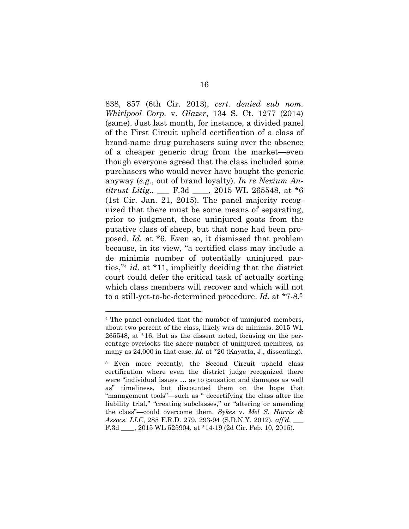838, 857 (6th Cir. 2013), *cert. denied sub nom. Whirlpool Corp.* v. *Glazer*, 134 S. Ct. 1277 (2014) (same). Just last month, for instance, a divided panel of the First Circuit upheld certification of a class of brand-name drug purchasers suing over the absence of a cheaper generic drug from the market—even though everyone agreed that the class included some purchasers who would never have bought the generic anyway (*e.g.*, out of brand loyalty). *In re Nexium Antitrust Litig.*, \_\_\_ F.3d \_\_\_\_, 2015 WL 265548, at \*6 (1st Cir. Jan. 21, 2015). The panel majority recognized that there must be some means of separating, prior to judgment, these uninjured goats from the putative class of sheep, but that none had been proposed. *Id.* at \*6. Even so, it dismissed that problem because, in its view, "a certified class may include a de minimis number of potentially uninjured parties,"4 *id.* at \*11, implicitly deciding that the district court could defer the critical task of actually sorting which class members will recover and which will not to a still-yet-to-be-determined procedure. *Id.* at \*7-8.5

l

<sup>4</sup> The panel concluded that the number of uninjured members, about two percent of the class, likely was de minimis. 2015 WL 265548, at \*16. But as the dissent noted, focusing on the percentage overlooks the sheer number of uninjured members, as many as 24,000 in that case. *Id.* at \*20 (Kayatta, J., dissenting).

<sup>5</sup> Even more recently, the Second Circuit upheld class certification where even the district judge recognized there were "individual issues … as to causation and damages as well as" timeliness, but discounted them on the hope that "management tools"—such as " decertifying the class after the liability trial," "creating subclasses," or "altering or amending the class"—could overcome them. *Sykes* v. *Mel S. Harris & Assocs. LLC*, 285 F.R.D. 279, 293-94 (S.D.N.Y. 2012), *aff'd*, \_\_\_ F.3d \_\_\_\_, 2015 WL 525904, at \*14-19 (2d Cir. Feb. 10, 2015).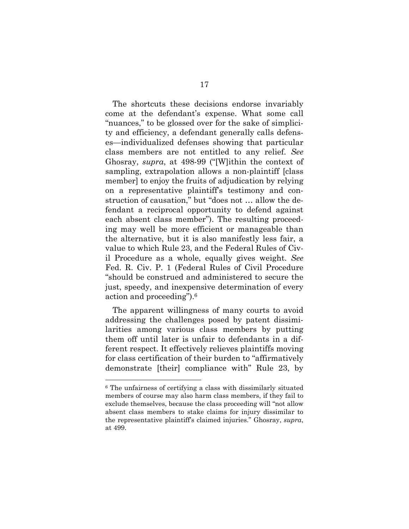The shortcuts these decisions endorse invariably come at the defendant's expense. What some call "nuances," to be glossed over for the sake of simplicity and efficiency, a defendant generally calls defenses—individualized defenses showing that particular class members are not entitled to any relief. *See*  Ghosray, *supra*, at 498-99 ("[W]ithin the context of sampling, extrapolation allows a non-plaintiff [class member] to enjoy the fruits of adjudication by relying on a representative plaintiff's testimony and construction of causation," but "does not … allow the defendant a reciprocal opportunity to defend against each absent class member"). The resulting proceeding may well be more efficient or manageable than the alternative, but it is also manifestly less fair, a value to which Rule 23, and the Federal Rules of Civil Procedure as a whole, equally gives weight. *See*  Fed. R. Civ. P. 1 (Federal Rules of Civil Procedure "should be construed and administered to secure the just, speedy, and inexpensive determination of every action and proceeding").6

The apparent willingness of many courts to avoid addressing the challenges posed by patent dissimilarities among various class members by putting them off until later is unfair to defendants in a different respect. It effectively relieves plaintiffs moving for class certification of their burden to "affirmatively demonstrate [their] compliance with" Rule 23, by

<sup>6</sup> The unfairness of certifying a class with dissimilarly situated members of course may also harm class members, if they fail to exclude themselves, because the class proceeding will "not allow absent class members to stake claims for injury dissimilar to the representative plaintiff's claimed injuries." Ghosray, *supra*, at 499.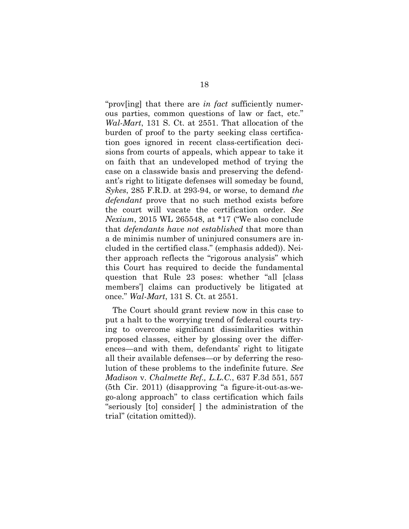"prov[ing] that there are *in fact* sufficiently numerous parties, common questions of law or fact, etc." *Wal-Mart*, 131 S. Ct. at 2551. That allocation of the burden of proof to the party seeking class certification goes ignored in recent class-certification decisions from courts of appeals, which appear to take it on faith that an undeveloped method of trying the case on a classwide basis and preserving the defendant's right to litigate defenses will someday be found, *Sykes*, 285 F.R.D. at 293-94, or worse, to demand *the defendant* prove that no such method exists before the court will vacate the certification order. *See Nexium*, 2015 WL 265548, at \*17 ("We also conclude that *defendants have not established* that more than a de minimis number of uninjured consumers are included in the certified class." (emphasis added)). Neither approach reflects the "rigorous analysis" which this Court has required to decide the fundamental question that Rule 23 poses: whether "all [class members'] claims can productively be litigated at once." *Wal-Mart*, 131 S. Ct. at 2551.

The Court should grant review now in this case to put a halt to the worrying trend of federal courts trying to overcome significant dissimilarities within proposed classes, either by glossing over the differences—and with them, defendants' right to litigate all their available defenses—or by deferring the resolution of these problems to the indefinite future. *See Madison* v. *Chalmette Ref., L.L.C.*, 637 F.3d 551, 557 (5th Cir. 2011) (disapproving "a figure-it-out-as-wego-along approach" to class certification which fails "seriously [to] consider[ ] the administration of the trial" (citation omitted)).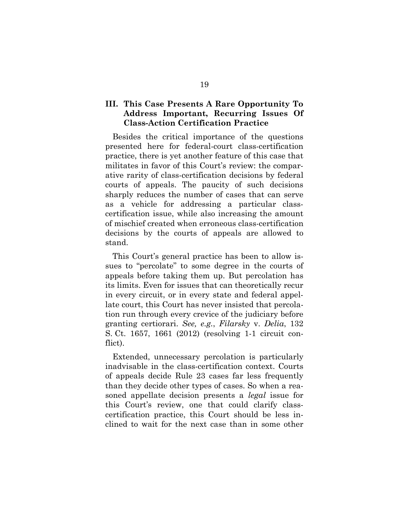## **III. This Case Presents A Rare Opportunity To Address Important, Recurring Issues Of Class-Action Certification Practice**

Besides the critical importance of the questions presented here for federal-court class-certification practice, there is yet another feature of this case that militates in favor of this Court's review: the comparative rarity of class-certification decisions by federal courts of appeals. The paucity of such decisions sharply reduces the number of cases that can serve as a vehicle for addressing a particular classcertification issue, while also increasing the amount of mischief created when erroneous class-certification decisions by the courts of appeals are allowed to stand.

This Court's general practice has been to allow issues to "percolate" to some degree in the courts of appeals before taking them up. But percolation has its limits. Even for issues that can theoretically recur in every circuit, or in every state and federal appellate court, this Court has never insisted that percolation run through every crevice of the judiciary before granting certiorari. *See, e.g.*, *Filarsky* v. *Delia*, 132 S. Ct. 1657, 1661 (2012) (resolving 1-1 circuit conflict).

Extended, unnecessary percolation is particularly inadvisable in the class-certification context. Courts of appeals decide Rule 23 cases far less frequently than they decide other types of cases. So when a reasoned appellate decision presents a *legal* issue for this Court's review, one that could clarify classcertification practice, this Court should be less inclined to wait for the next case than in some other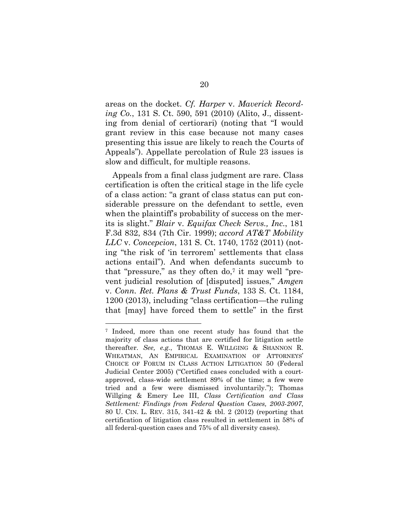areas on the docket. *Cf. Harper* v. *Maverick Recording Co.*, 131 S. Ct. 590, 591 (2010) (Alito, J., dissenting from denial of certiorari) (noting that "I would grant review in this case because not many cases presenting this issue are likely to reach the Courts of Appeals"). Appellate percolation of Rule 23 issues is slow and difficult, for multiple reasons.

Appeals from a final class judgment are rare. Class certification is often the critical stage in the life cycle of a class action: "a grant of class status can put considerable pressure on the defendant to settle, even when the plaintiff's probability of success on the merits is slight." *Blair* v. *Equifax Check Servs., Inc.*, 181 F.3d 832, 834 (7th Cir. 1999); *accord AT&T Mobility LLC* v. *Concepcion*, 131 S. Ct. 1740, 1752 (2011) (noting "the risk of 'in terrorem' settlements that class actions entail"). And when defendants succumb to that "pressure," as they often  $do$ , it may well "prevent judicial resolution of [disputed] issues," *Amgen*  v. *Conn. Ret. Plans & Trust Funds*, 133 S. Ct. 1184, 1200 (2013), including "class certification—the ruling that [may] have forced them to settle" in the first

l

<sup>7</sup> Indeed, more than one recent study has found that the majority of class actions that are certified for litigation settle thereafter. *See, e.g.*, THOMAS E. WILLGING & SHANNON R. WHEATMAN, AN EMPIRICAL EXAMINATION OF ATTORNEYS' CHOICE OF FORUM IN CLASS ACTION LITIGATION 50 (Federal Judicial Center 2005) ("Certified cases concluded with a courtapproved, class-wide settlement 89% of the time; a few were tried and a few were dismissed involuntarily."); Thomas Willging & Emery Lee III, *Class Certification and Class Settlement: Findings from Federal Question Cases, 2003-2007*, 80 U. CIN. L. REV. 315, 341-42 & tbl. 2 (2012) (reporting that certification of litigation class resulted in settlement in 58% of all federal-question cases and 75% of all diversity cases).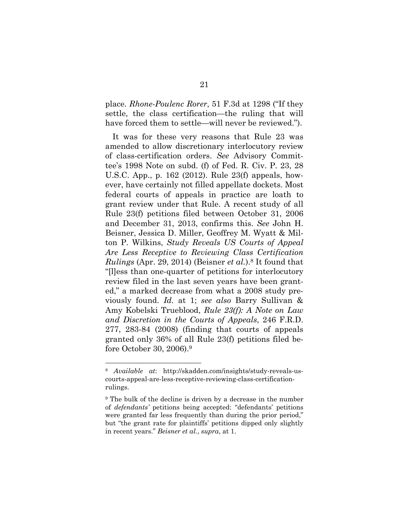place. *Rhone-Poulenc Rorer*, 51 F.3d at 1298 ("If they settle, the class certification—the ruling that will have forced them to settle—will never be reviewed.").

It was for these very reasons that Rule 23 was amended to allow discretionary interlocutory review of class-certification orders. *See* Advisory Committee's 1998 Note on subd. (f) of Fed. R. Civ. P. 23, 28 U.S.C. App., p. 162 (2012). Rule 23(f) appeals, however, have certainly not filled appellate dockets. Most federal courts of appeals in practice are loath to grant review under that Rule. A recent study of all Rule 23(f) petitions filed between October 31, 2006 and December 31, 2013, confirms this. *See* John H. Beisner, Jessica D. Miller, Geoffrey M. Wyatt & Milton P. Wilkins, *Study Reveals US Courts of Appeal Are Less Receptive to Reviewing Class Certification Rulings* (Apr. 29, 2014) (Beisner *et al.*).8 It found that "[l]ess than one-quarter of petitions for interlocutory review filed in the last seven years have been granted," a marked decrease from what a 2008 study previously found. *Id.* at 1; *see also* Barry Sullivan & Amy Kobelski Trueblood, *Rule 23(f): A Note on Law and Discretion in the Courts of Appeals*, 246 F.R.D. 277, 283-84 (2008) (finding that courts of appeals granted only 36% of all Rule 23(f) petitions filed before October 30, 2006).9

l

<sup>8</sup> *Available at*: http://skadden.com/insights/study-reveals-uscourts-appeal-are-less-receptive-reviewing-class-certificationrulings.

<sup>9</sup> The bulk of the decline is driven by a decrease in the number of *defendants'* petitions being accepted: "defendants' petitions were granted far less frequently than during the prior period," but "the grant rate for plaintiffs' petitions dipped only slightly in recent years." *Beisner et al.*, *supra*, at 1.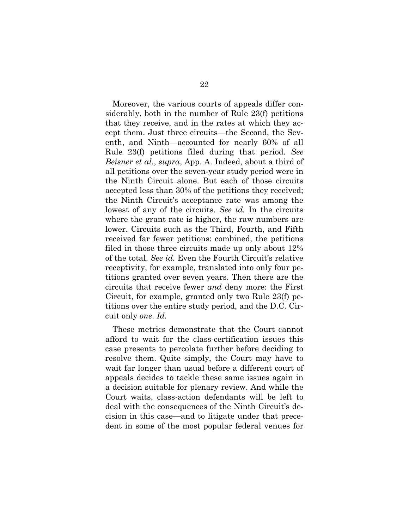Moreover, the various courts of appeals differ considerably, both in the number of Rule 23(f) petitions that they receive, and in the rates at which they accept them. Just three circuits—the Second, the Seventh, and Ninth—accounted for nearly 60% of all Rule 23(f) petitions filed during that period. *See Beisner et al.*, *supra*, App. A. Indeed, about a third of all petitions over the seven-year study period were in the Ninth Circuit alone. But each of those circuits accepted less than 30% of the petitions they received; the Ninth Circuit's acceptance rate was among the lowest of any of the circuits. *See id.* In the circuits where the grant rate is higher, the raw numbers are lower. Circuits such as the Third, Fourth, and Fifth received far fewer petitions: combined, the petitions filed in those three circuits made up only about 12% of the total. *See id.* Even the Fourth Circuit's relative receptivity, for example, translated into only four petitions granted over seven years. Then there are the circuits that receive fewer *and* deny more: the First Circuit, for example, granted only two Rule 23(f) petitions over the entire study period, and the D.C. Circuit only *one*. *Id.*

These metrics demonstrate that the Court cannot afford to wait for the class-certification issues this case presents to percolate further before deciding to resolve them. Quite simply, the Court may have to wait far longer than usual before a different court of appeals decides to tackle these same issues again in a decision suitable for plenary review. And while the Court waits, class-action defendants will be left to deal with the consequences of the Ninth Circuit's decision in this case—and to litigate under that precedent in some of the most popular federal venues for